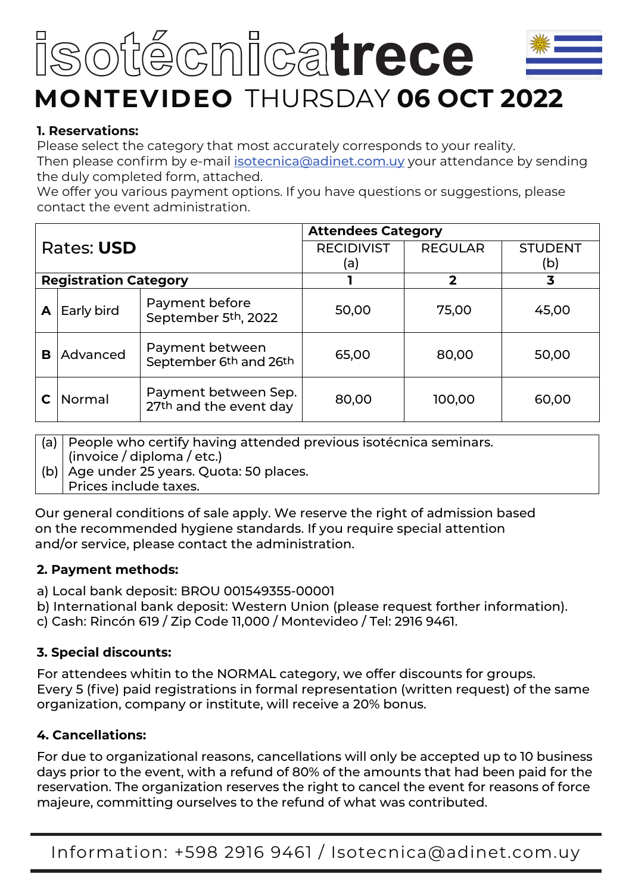# of@cmicatrece **MONTEVIDEO** THURSDAY **06 OCT 2022**

#### **1. Reservations:**

Please select the category that most accurately corresponds to your reality. Then please confirm by e-mail isotecnica@adinet.com.uy your attendance by sending the duly completed form, attached.

We offer you various payment options. If you have questions or suggestions, please contact the event administration.

|   |                              |                                                | <b>Attendees Category</b> |                |                |
|---|------------------------------|------------------------------------------------|---------------------------|----------------|----------------|
|   | Rates: USD                   |                                                | <b>RECIDIVIST</b>         | <b>REGULAR</b> | <b>STUDENT</b> |
|   |                              |                                                | (a)                       |                | (b)            |
|   | <b>Registration Category</b> |                                                |                           | 2              | 3              |
| А | Early bird                   | Payment before<br>September 5th, 2022          | 50,00                     | 75,00          | 45,00          |
| В | Advanced                     | Payment between<br>September 6th and 26th      | 65,00                     | 80,00          | 50,00          |
|   | Normal                       | Payment between Sep.<br>27th and the event day | 80,00                     | 100,00         | 60,00          |

(a) People who certify having attended previous isotécnica seminars.

- (invoice / diploma / etc.)
- (b) Age under 25 years. Quota: 50 places.

Prices include taxes.

Our general conditions of sale apply. We reserve the right of admission based on the recommended hygiene standards. If you require special attention and/or service, please contact the administration.

#### **2. Payment methods:**

- a) Local bank deposit: BROU 001549355-00001
- b) International bank deposit: Western Union (please request forther information).
- c) Cash: Rincón 619 / Zip Code 11,000 / Montevideo / Tel: 2916 9461.

# **3. Special discounts:**

For attendees whitin to the NORMAL category, we offer discounts for groups. Every 5 (five) paid registrations in formal representation (written request) of the same organization, company or institute, will receive a 20% bonus.

# **4. Cancellations:**

For due to organizational reasons, cancellations will only be accepted up to 10 business days prior to the event, with a refund of 80% of the amounts that had been paid for the reservation. The organization reserves the right to cancel the event for reasons of force majeure, committing ourselves to the refund of what was contributed.

Information: +598 2916 9461 / Isotecnica@adinet.com.uy